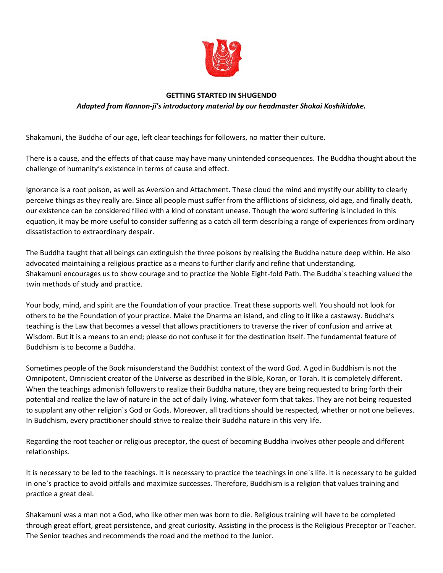

## **GETTING STARTED IN SHUGENDO** *Adapted from Kannon-ji's introductory material by our headmaster Shokai Koshikidake.*

Shakamuni, the Buddha of our age, left clear teachings for followers, no matter their culture.

There is a cause, and the effects of that cause may have many unintended consequences. The Buddha thought about the challenge of humanity's existence in terms of cause and effect.

Ignorance is a root poison, as well as Aversion and Attachment. These cloud the mind and mystify our ability to clearly perceive things as they really are. Since all people must suffer from the afflictions of sickness, old age, and finally death, our existence can be considered filled with a kind of constant unease. Though the word suffering is included in this equation, it may be more useful to consider suffering as a catch all term describing a range of experiences from ordinary dissatisfaction to extraordinary despair.

The Buddha taught that all beings can extinguish the three poisons by realising the Buddha nature deep within. He also advocated maintaining a religious practice as a means to further clarify and refine that understanding. Shakamuni encourages us to show courage and to practice the Noble Eight-fold Path. The Buddha`s teaching valued the twin methods of study and practice.

Your body, mind, and spirit are the Foundation of your practice. Treat these supports well. You should not look for others to be the Foundation of your practice. Make the Dharma an island, and cling to it like a castaway. Buddha's teaching is the Law that becomes a vessel that allows practitioners to traverse the river of confusion and arrive at Wisdom. But it is a means to an end; please do not confuse it for the destination itself. The fundamental feature of Buddhism is to become a Buddha.

Sometimes people of the Book misunderstand the Buddhist context of the word God. A god in Buddhism is not the Omnipotent, Omniscient creator of the Universe as described in the Bible, Koran, or Torah. It is completely different. When the teachings admonish followers to realize their Buddha nature, they are being requested to bring forth their potential and realize the law of nature in the act of daily living, whatever form that takes. They are not being requested to supplant any other religion`s God or Gods. Moreover, all traditions should be respected, whether or not one believes. In Buddhism, every practitioner should strive to realize their Buddha nature in this very life.

Regarding the root teacher or religious preceptor, the quest of becoming Buddha involves other people and different relationships.

It is necessary to be led to the teachings. It is necessary to practice the teachings in one`s life. It is necessary to be guided in one`s practice to avoid pitfalls and maximize successes. Therefore, Buddhism is a religion that values training and practice a great deal.

Shakamuni was a man not a God, who like other men was born to die. Religious training will have to be completed through great effort, great persistence, and great curiosity. Assisting in the process is the Religious Preceptor or Teacher. The Senior teaches and recommends the road and the method to the Junior.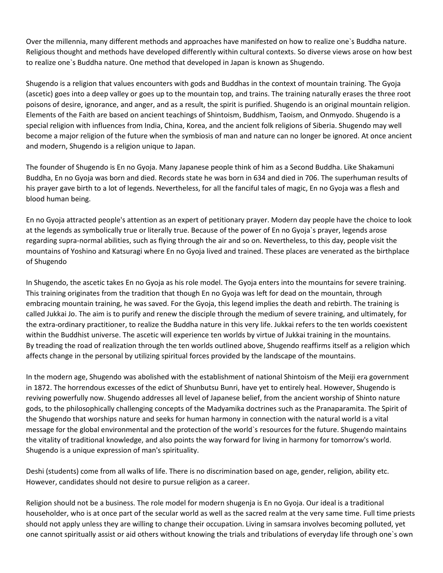Over the millennia, many different methods and approaches have manifested on how to realize one`s Buddha nature. Religious thought and methods have developed differently within cultural contexts. So diverse views arose on how best to realize one`s Buddha nature. One method that developed in Japan is known as Shugendo.

Shugendo is a religion that values encounters with gods and Buddhas in the context of mountain training. The Gyoja (ascetic) goes into a deep valley or goes up to the mountain top, and trains. The training naturally erases the three root poisons of desire, ignorance, and anger, and as a result, the spirit is purified. Shugendo is an original mountain religion. Elements of the Faith are based on ancient teachings of Shintoism, Buddhism, Taoism, and Onmyodo. Shugendo is a special religion with influences from India, China, Korea, and the ancient folk religions of Siberia. Shugendo may well become a major religion of the future when the symbiosis of man and nature can no longer be ignored. At once ancient and modern, Shugendo is a religion unique to Japan.

The founder of Shugendo is En no Gyoja. Many Japanese people think of him as a Second Buddha. Like Shakamuni Buddha, En no Gyoja was born and died. Records state he was born in 634 and died in 706. The superhuman results of his prayer gave birth to a lot of legends. Nevertheless, for all the fanciful tales of magic, En no Gyoja was a flesh and blood human being.

En no Gyoja attracted people's attention as an expert of petitionary prayer. Modern day people have the choice to look at the legends as symbolically true or literally true. Because of the power of En no Gyoja`s prayer, legends arose regarding supra-normal abilities, such as flying through the air and so on. Nevertheless, to this day, people visit the mountains of Yoshino and Katsuragi where En no Gyoja lived and trained. These places are venerated as the birthplace of Shugendo

In Shugendo, the ascetic takes En no Gyoja as his role model. The Gyoja enters into the mountains for severe training. This training originates from the tradition that though En no Gyoja was left for dead on the mountain, through embracing mountain training, he was saved. For the Gyoja, this legend implies the death and rebirth. The training is called Jukkai Jo. The aim is to purify and renew the disciple through the medium of severe training, and ultimately, for the extra-ordinary practitioner, to realize the Buddha nature in this very life. Jukkai refers to the ten worlds coexistent within the Buddhist universe. The ascetic will experience ten worlds by virtue of Jukkai training in the mountains. By treading the road of realization through the ten worlds outlined above, Shugendo reaffirms itself as a religion which affects change in the personal by utilizing spiritual forces provided by the landscape of the mountains.

In the modern age, Shugendo was abolished with the establishment of national Shintoism of the Meiji era government in 1872. The horrendous excesses of the edict of Shunbutsu Bunri, have yet to entirely heal. However, Shugendo is reviving powerfully now. Shugendo addresses all level of Japanese belief, from the ancient worship of Shinto nature gods, to the philosophically challenging concepts of the Madyamika doctrines such as the Pranaparamita. The Spirit of the Shugendo that worships nature and seeks for human harmony in connection with the natural world is a vital message for the global environmental and the protection of the world`s resources for the future. Shugendo maintains the vitality of traditional knowledge, and also points the way forward for living in harmony for tomorrow's world. Shugendo is a unique expression of man's spirituality.

Deshi (students) come from all walks of life. There is no discrimination based on age, gender, religion, ability etc. However, candidates should not desire to pursue religion as a career.

Religion should not be a business. The role model for modern shugenja is En no Gyoja. Our ideal is a traditional householder, who is at once part of the secular world as well as the sacred realm at the very same time. Full time priests should not apply unless they are willing to change their occupation. Living in samsara involves becoming polluted, yet one cannot spiritually assist or aid others without knowing the trials and tribulations of everyday life through one`s own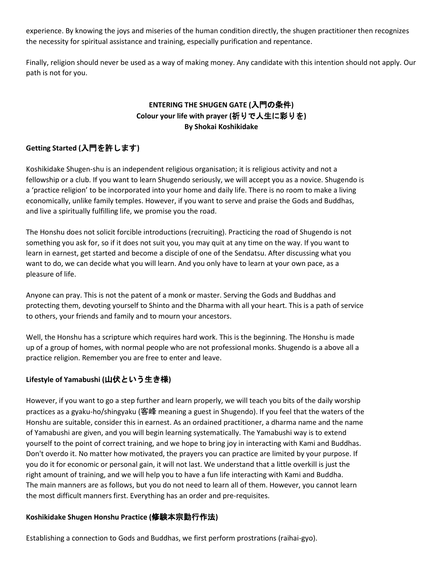experience. By knowing the joys and miseries of the human condition directly, the shugen practitioner then recognizes the necessity for spiritual assistance and training, especially purification and repentance.

Finally, religion should never be used as a way of making money. Any candidate with this intention should not apply. Our path is not for you.

# **ENTERING THE SHUGEN GATE (**入門の条件**) Colour your life with prayer (**祈りで人生に彩りを**) By Shokai Koshikidake**

# **Getting Started (**入門を許します**)**

Koshikidake Shugen-shu is an independent religious organisation; it is religious activity and not a fellowship or a club. If you want to learn Shugendo seriously, we will accept you as a novice. Shugendo is a 'practice religion' to be incorporated into your home and daily life. There is no room to make a living economically, unlike family temples. However, if you want to serve and praise the Gods and Buddhas, and live a spiritually fulfilling life, we promise you the road.

The Honshu does not solicit forcible introductions (recruiting). Practicing the road of Shugendo is not something you ask for, so if it does not suit you, you may quit at any time on the way. If you want to learn in earnest, get started and become a disciple of one of the Sendatsu. After discussing what you want to do, we can decide what you will learn. And you only have to learn at your own pace, as a pleasure of life.

Anyone can pray. This is not the patent of a monk or master. Serving the Gods and Buddhas and protecting them, devoting yourself to Shinto and the Dharma with all your heart. This is a path of service to others, your friends and family and to mourn your ancestors.

Well, the Honshu has a scripture which requires hard work. This is the beginning. The Honshu is made up of a group of homes, with normal people who are not professional monks. Shugendo is a above all a practice religion. Remember you are free to enter and leave.

# **Lifestyle of Yamabushi (**山伏という生き様**)**

However, if you want to go a step further and learn properly, we will teach you bits of the daily worship practices as a gyaku-ho/shingyaku (客峰 meaning a guest in Shugendo). If you feel that the waters of the Honshu are suitable, consider this in earnest. As an ordained practitioner, a dharma name and the name of Yamabushi are given, and you will begin learning systematically. The Yamabushi way is to extend yourself to the point of correct training, and we hope to bring joy in interacting with Kami and Buddhas. Don't overdo it. No matter how motivated, the prayers you can practice are limited by your purpose. If you do it for economic or personal gain, it will not last. We understand that a little overkill is just the right amount of training, and we will help you to have a fun life interacting with Kami and Buddha. The main manners are as follows, but you do not need to learn all of them. However, you cannot learn the most difficult manners first. Everything has an order and pre-requisites.

### **Koshikidake Shugen Honshu Practice (**修験本宗勤行作法**)**

Establishing a connection to Gods and Buddhas, we first perform prostrations (raihai-gyo).